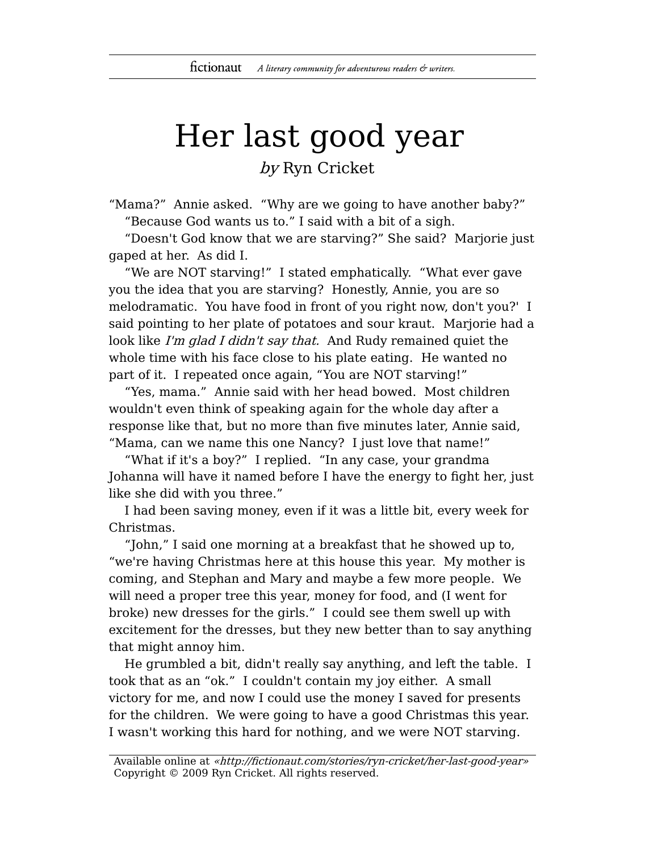## Her last good year

by Ryn Cricket

"Mama?" Annie asked. "Why are we going to have another baby?" "Because God wants us to." I said with a bit of a sigh.

"Doesn't God know that we are starving?" She said? Marjorie just gaped at her. As did I.

"We are NOT starving!" I stated emphatically. "What ever gave you the idea that you are starving? Honestly, Annie, you are so melodramatic. You have food in front of you right now, don't you?' I said pointing to her plate of potatoes and sour kraut. Marjorie had a look like I'm glad I didn't say that. And Rudy remained quiet the whole time with his face close to his plate eating. He wanted no part of it. I repeated once again, "You are NOT starving!"

"Yes, mama." Annie said with her head bowed. Most children wouldn't even think of speaking again for the whole day after a response like that, but no more than five minutes later, Annie said, "Mama, can we name this one Nancy? I just love that name!"

"What if it's a boy?" I replied. "In any case, your grandma Johanna will have it named before I have the energy to fight her, just like she did with you three."

I had been saving money, even if it was a little bit, every week for Christmas.

"John," I said one morning at a breakfast that he showed up to, "we're having Christmas here at this house this year. My mother is coming, and Stephan and Mary and maybe a few more people. We will need a proper tree this year, money for food, and (I went for broke) new dresses for the girls." I could see them swell up with excitement for the dresses, but they new better than to say anything that might annoy him.

He grumbled a bit, didn't really say anything, and left the table. I took that as an "ok." I couldn't contain my joy either. A small victory for me, and now I could use the money I saved for presents for the children. We were going to have a good Christmas this year. I wasn't working this hard for nothing, and we were NOT starving.

Available online at «http://fictionaut.com/stories/ryn-cricket/her-last-good-year» Copyright © 2009 Ryn Cricket. All rights reserved.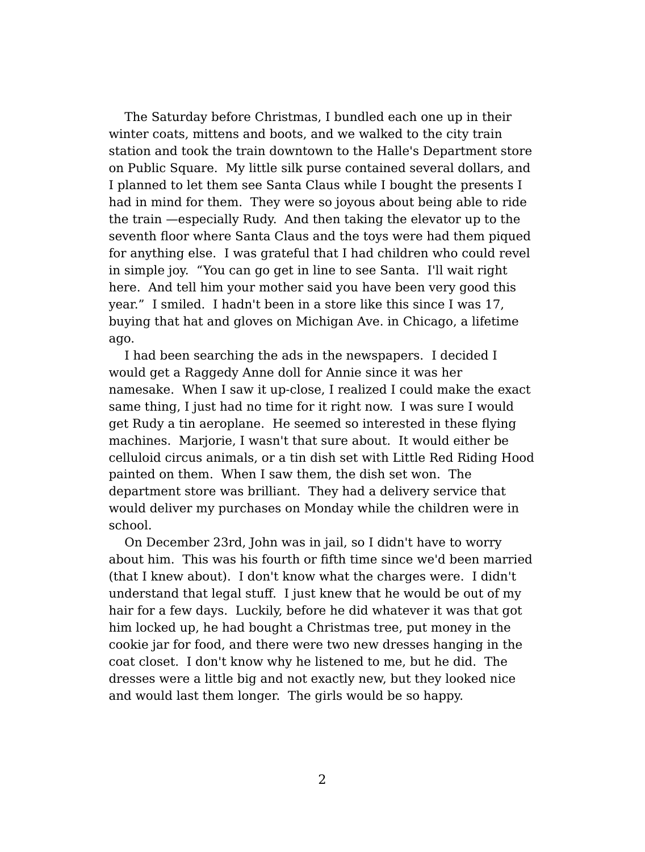The Saturday before Christmas, I bundled each one up in their winter coats, mittens and boots, and we walked to the city train station and took the train downtown to the Halle's Department store on Public Square. My little silk purse contained several dollars, and I planned to let them see Santa Claus while I bought the presents I had in mind for them. They were so joyous about being able to ride the train —especially Rudy. And then taking the elevator up to the seventh floor where Santa Claus and the toys were had them piqued for anything else. I was grateful that I had children who could revel in simple joy. "You can go get in line to see Santa. I'll wait right here. And tell him your mother said you have been very good this year." I smiled. I hadn't been in a store like this since I was 17, buying that hat and gloves on Michigan Ave. in Chicago, a lifetime ago.

I had been searching the ads in the newspapers. I decided I would get a Raggedy Anne doll for Annie since it was her namesake. When I saw it up-close, I realized I could make the exact same thing, I just had no time for it right now. I was sure I would get Rudy a tin aeroplane. He seemed so interested in these flying machines. Marjorie, I wasn't that sure about. It would either be celluloid circus animals, or a tin dish set with Little Red Riding Hood painted on them. When I saw them, the dish set won. The department store was brilliant. They had a delivery service that would deliver my purchases on Monday while the children were in school.

On December 23rd, John was in jail, so I didn't have to worry about him. This was his fourth or fifth time since we'd been married (that I knew about). I don't know what the charges were. I didn't understand that legal stuff. I just knew that he would be out of my hair for a few days. Luckily, before he did whatever it was that got him locked up, he had bought a Christmas tree, put money in the cookie jar for food, and there were two new dresses hanging in the coat closet. I don't know why he listened to me, but he did. The dresses were a little big and not exactly new, but they looked nice and would last them longer. The girls would be so happy.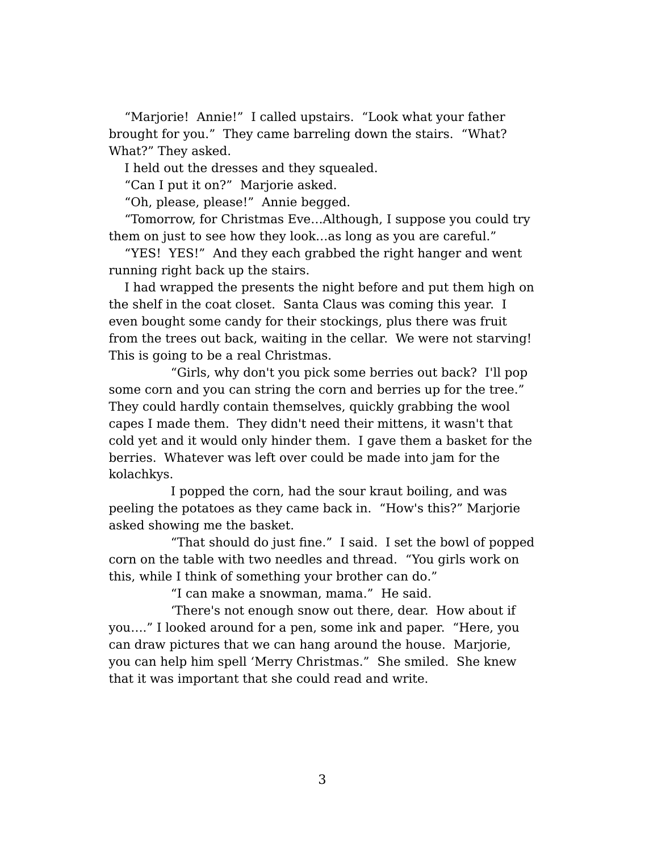"Marjorie! Annie!" I called upstairs. "Look what your father brought for you." They came barreling down the stairs. "What? What?" They asked.

I held out the dresses and they squealed.

"Can I put it on?" Marjorie asked.

"Oh, please, please!" Annie begged.

"Tomorrow, for Christmas Eve…Although, I suppose you could try them on just to see how they look…as long as you are careful."

"YES! YES!" And they each grabbed the right hanger and went running right back up the stairs.

I had wrapped the presents the night before and put them high on the shelf in the coat closet. Santa Claus was coming this year. I even bought some candy for their stockings, plus there was fruit from the trees out back, waiting in the cellar. We were not starving! This is going to be a real Christmas.

"Girls, why don't you pick some berries out back? I'll pop some corn and you can string the corn and berries up for the tree." They could hardly contain themselves, quickly grabbing the wool capes I made them. They didn't need their mittens, it wasn't that cold yet and it would only hinder them. I gave them a basket for the berries. Whatever was left over could be made into jam for the kolachkys.

I popped the corn, had the sour kraut boiling, and was peeling the potatoes as they came back in. "How's this?" Marjorie asked showing me the basket.

"That should do just fine." I said. I set the bowl of popped corn on the table with two needles and thread. "You girls work on this, while I think of something your brother can do."

"I can make a snowman, mama." He said.

'There's not enough snow out there, dear. How about if you…." I looked around for a pen, some ink and paper. "Here, you can draw pictures that we can hang around the house. Marjorie, you can help him spell 'Merry Christmas." She smiled. She knew that it was important that she could read and write.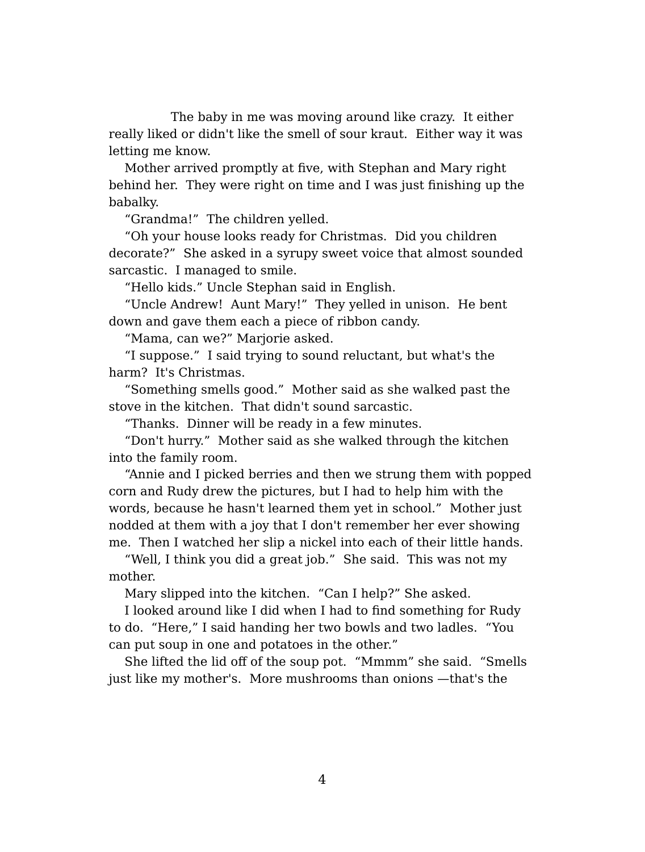The baby in me was moving around like crazy. It either really liked or didn't like the smell of sour kraut. Either way it was letting me know.

Mother arrived promptly at five, with Stephan and Mary right behind her. They were right on time and I was just finishing up the babalky.

"Grandma!" The children yelled.

"Oh your house looks ready for Christmas. Did you children decorate?" She asked in a syrupy sweet voice that almost sounded sarcastic. I managed to smile.

"Hello kids." Uncle Stephan said in English.

"Uncle Andrew! Aunt Mary!" They yelled in unison. He bent down and gave them each a piece of ribbon candy.

"Mama, can we?" Marjorie asked.

"I suppose." I said trying to sound reluctant, but what's the harm? It's Christmas.

"Something smells good." Mother said as she walked past the stove in the kitchen. That didn't sound sarcastic.

"Thanks. Dinner will be ready in a few minutes.

"Don't hurry." Mother said as she walked through the kitchen into the family room.

"Annie and I picked berries and then we strung them with popped corn and Rudy drew the pictures, but I had to help him with the words, because he hasn't learned them yet in school." Mother just nodded at them with a joy that I don't remember her ever showing me. Then I watched her slip a nickel into each of their little hands.

"Well, I think you did a great job." She said. This was not my mother.

Mary slipped into the kitchen. "Can I help?" She asked.

I looked around like I did when I had to find something for Rudy to do. "Here," I said handing her two bowls and two ladles. "You can put soup in one and potatoes in the other."

She lifted the lid off of the soup pot. "Mmmm" she said. "Smells just like my mother's. More mushrooms than onions —that's the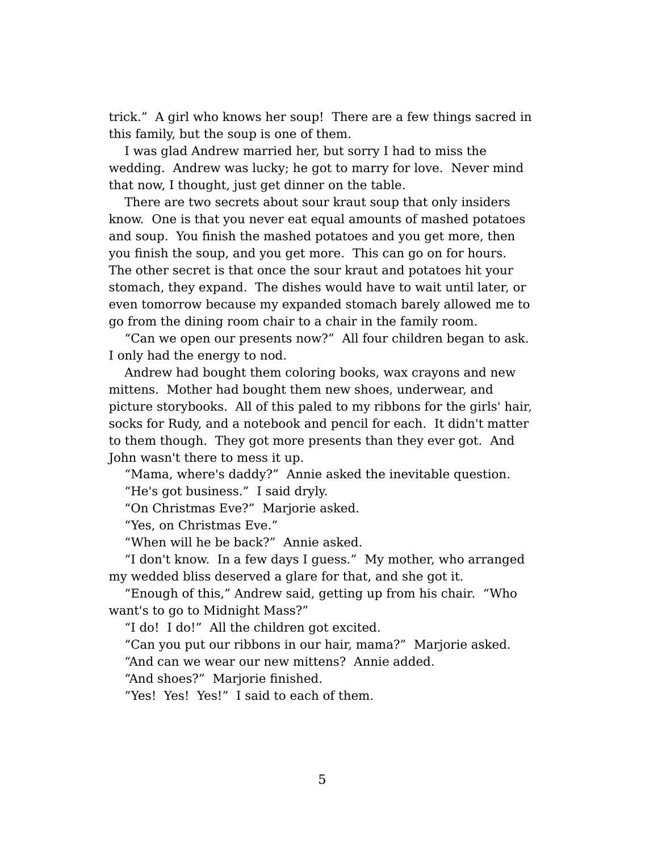trick." A girl who knows her soup! There are a few things sacred in this family, but the soup is one of them.

I was glad Andrew married her, but sorry I had to miss the wedding. Andrew was lucky; he got to marry for love. Never mind that now, I thought, just get dinner on the table.

There are two secrets about sour kraut soup that only insiders know. One is that you never eat equal amounts of mashed potatoes and soup. You finish the mashed potatoes and you get more, then you finish the soup, and you get more. This can go on for hours. The other secret is that once the sour kraut and potatoes hit your stomach, they expand. The dishes would have to wait until later, or even tomorrow because my expanded stomach barely allowed me to go from the dining room chair to a chair in the family room.

"Can we open our presents now?" All four children began to ask. I only had the energy to nod.

Andrew had bought them coloring books, wax crayons and new mittens. Mother had bought them new shoes, underwear, and picture storybooks. All of this paled to my ribbons for the girls' hair, socks for Rudy, and a notebook and pencil for each. It didn't matter to them though. They got more presents than they ever got. And John wasn't there to mess it up.

"Mama, where's daddy?" Annie asked the inevitable question. "He's got business." I said dryly.

"On Christmas Eve?" Marjorie asked.

"Yes, on Christmas Eve."

"When will he be back?" Annie asked.

"I don't know. In a few days I guess." My mother, who arranged my wedded bliss deserved a glare for that, and she got it.

"Enough of this," Andrew said, getting up from his chair. "Who want's to go to Midnight Mass?"

"I do! I do!" All the children got excited.

"Can you put our ribbons in our hair, mama?" Marjorie asked.

"And can we wear our new mittens? Annie added.

"And shoes?" Marjorie finished.

"Yes! Yes! Yes!" I said to each of them.